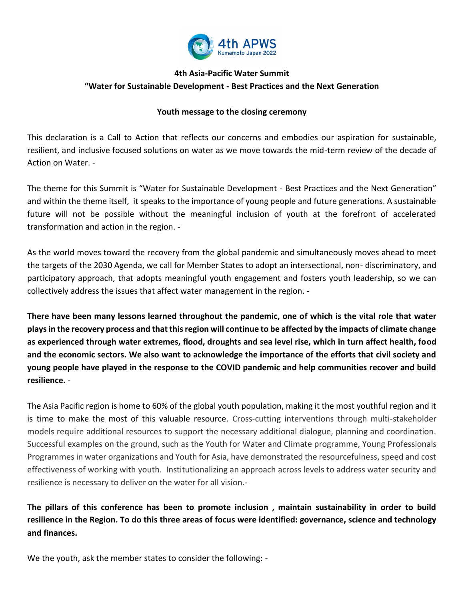

# **4th Asia-Pacific Water Summit "Water for Sustainable Development - Best Practices and the Next Generation**

### **Youth message to the closing ceremony**

This declaration is a Call to Action that reflects our concerns and embodies our aspiration for sustainable, resilient, and inclusive focused solutions on water as we move towards the mid-term review of the decade of Action on Water. -

The theme for this Summit is "Water for Sustainable Development - Best Practices and the Next Generation" and within the theme itself, it speaks to the importance of young people and future generations. A sustainable future will not be possible without the meaningful inclusion of youth at the forefront of accelerated transformation and action in the region. -

As the world moves toward the recovery from the global pandemic and simultaneously moves ahead to meet the targets of the 2030 Agenda, we call for Member States to adopt an intersectional, non- discriminatory, and participatory approach, that adopts meaningful youth engagement and fosters youth leadership, so we can collectively address the issues that affect water management in the region. -

**There have been many lessons learned throughout the pandemic, one of which is the vital role that water plays in the recovery process and that this region will continue to be affected by the impacts of climate change as experienced through water extremes, flood, droughts and sea level rise, which in turn affect health, food and the economic sectors. We also want to acknowledge the importance of the efforts that civil society and young people have played in the response to the COVID pandemic and help communities recover and build resilience.** -

The Asia Pacific region is home to 60% of the global youth population, making it the most youthful region and it is time to make the most of this valuable resource. Cross-cutting interventions through multi-stakeholder models require additional resources to support the necessary additional dialogue, planning and coordination. Successful examples on the ground, such as the Youth for Water and Climate programme, Young Professionals Programmes in water organizations and Youth for Asia, have demonstrated the resourcefulness, speed and cost effectiveness of working with youth. Institutionalizing an approach across levels to address water security and resilience is necessary to deliver on the water for all vision.-

**The pillars of this conference has been to promote inclusion , maintain sustainability in order to build resilience in the Region. To do this three areas of focus were identified: governance, science and technology and finances.** 

We the youth, ask the member states to consider the following: -